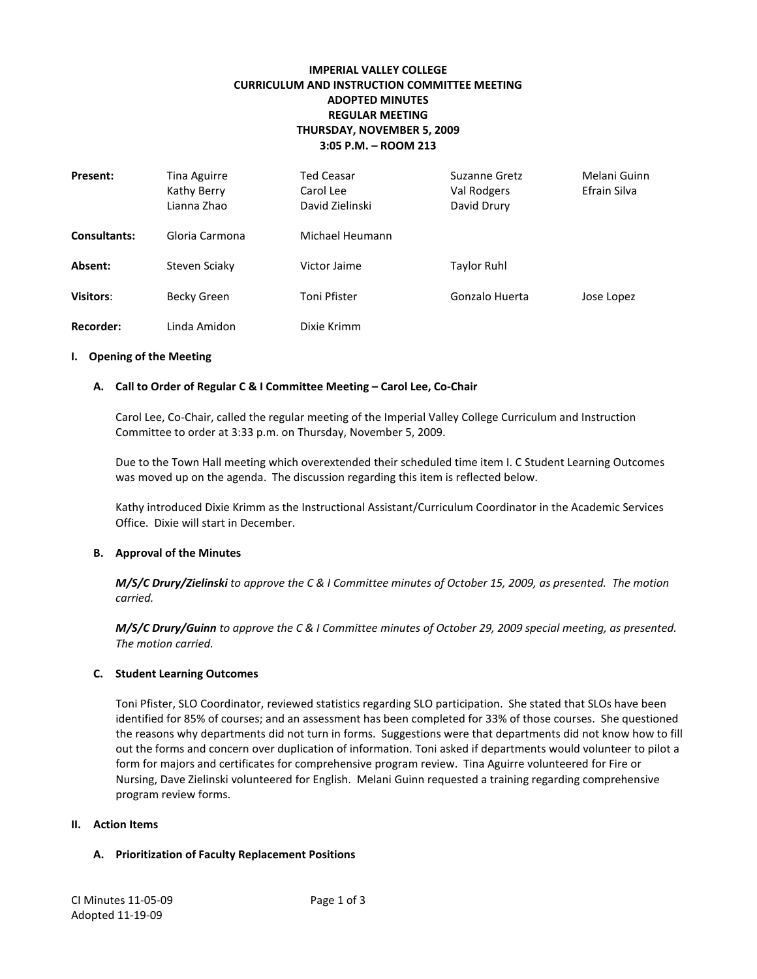# **IMPERIAL VALLEY COLLEGE CURRICULUM AND INSTRUCTION COMMITTEE MEETING ADOPTED MINUTES REGULAR MEETING THURSDAY, NOVEMBER 5, 2009 3:05 P.M. – ROOM 213**

| <b>Present:</b>     | Tina Aguirre<br>Kathy Berry<br>Lianna Zhao | <b>Ted Ceasar</b><br>Carol Lee<br>David Zielinski | Suzanne Gretz<br>Val Rodgers<br>David Drury | Melani Guinn<br>Efrain Silva |
|---------------------|--------------------------------------------|---------------------------------------------------|---------------------------------------------|------------------------------|
| <b>Consultants:</b> | Gloria Carmona                             | Michael Heumann                                   |                                             |                              |
| Absent:             | Steven Sciaky                              | Victor Jaime                                      | <b>Taylor Ruhl</b>                          |                              |
| <b>Visitors:</b>    | Becky Green                                | Toni Pfister                                      | Gonzalo Huerta                              | Jose Lopez                   |
| <b>Recorder:</b>    | Linda Amidon                               | Dixie Krimm                                       |                                             |                              |

#### **I. Opening of the Meeting**

#### **A. Call to Order of Regular C & I Committee Meeting – Carol Lee, Co-Chair**

Carol Lee, Co-Chair, called the regular meeting of the Imperial Valley College Curriculum and Instruction Committee to order at 3:33 p.m. on Thursday, November 5, 2009.

Due to the Town Hall meeting which overextended their scheduled time item I. C Student Learning Outcomes was moved up on the agenda. The discussion regarding this item is reflected below.

Kathy introduced Dixie Krimm as the Instructional Assistant/Curriculum Coordinator in the Academic Services Office. Dixie will start in December.

#### **B. Approval of the Minutes**

*M/S/C Drury/Zielinski to approve the C & I Committee minutes of October 15, 2009, as presented. The motion carried.*

*M/S/C Drury/Guinn to approve the C & I Committee minutes of October 29, 2009 special meeting, as presented. The motion carried.*

#### **C. Student Learning Outcomes**

Toni Pfister, SLO Coordinator, reviewed statistics regarding SLO participation. She stated that SLOs have been identified for 85% of courses; and an assessment has been completed for 33% of those courses. She questioned the reasons why departments did not turn in forms. Suggestions were that departments did not know how to fill out the forms and concern over duplication of information. Toni asked if departments would volunteer to pilot a form for majors and certificates for comprehensive program review. Tina Aguirre volunteered for Fire or Nursing, Dave Zielinski volunteered for English. Melani Guinn requested a training regarding comprehensive program review forms.

#### **II. Action Items**

#### **A. Prioritization of Faculty Replacement Positions**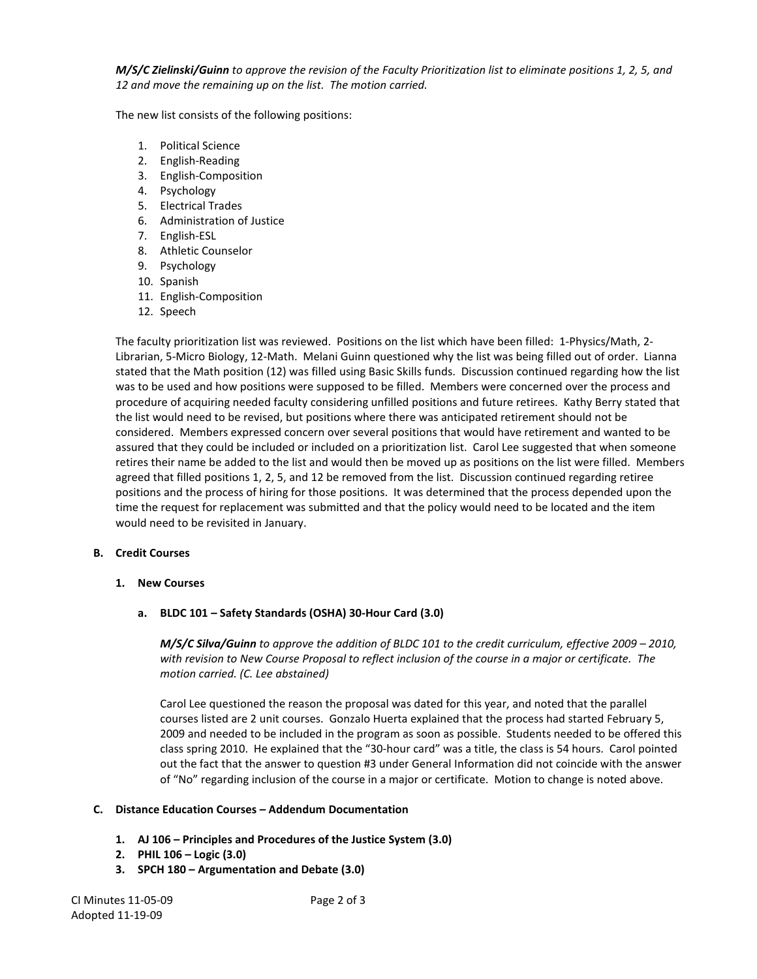*M/S/C Zielinski/Guinn to approve the revision of the Faculty Prioritization list to eliminate positions 1, 2, 5, and 12 and move the remaining up on the list. The motion carried.*

The new list consists of the following positions:

- 1. Political Science
- 2. English-Reading
- 3. English-Composition
- 4. Psychology
- 5. Electrical Trades
- 6. Administration of Justice
- 7. English-ESL
- 8. Athletic Counselor
- 9. Psychology
- 10. Spanish
- 11. English-Composition
- 12. Speech

The faculty prioritization list was reviewed. Positions on the list which have been filled: 1-Physics/Math, 2- Librarian, 5-Micro Biology, 12-Math. Melani Guinn questioned why the list was being filled out of order. Lianna stated that the Math position (12) was filled using Basic Skills funds. Discussion continued regarding how the list was to be used and how positions were supposed to be filled. Members were concerned over the process and procedure of acquiring needed faculty considering unfilled positions and future retirees. Kathy Berry stated that the list would need to be revised, but positions where there was anticipated retirement should not be considered. Members expressed concern over several positions that would have retirement and wanted to be assured that they could be included or included on a prioritization list. Carol Lee suggested that when someone retires their name be added to the list and would then be moved up as positions on the list were filled. Members agreed that filled positions 1, 2, 5, and 12 be removed from the list. Discussion continued regarding retiree positions and the process of hiring for those positions. It was determined that the process depended upon the time the request for replacement was submitted and that the policy would need to be located and the item would need to be revisited in January.

#### **B. Credit Courses**

- **1. New Courses**
	- **a. BLDC 101 – Safety Standards (OSHA) 30-Hour Card (3.0)**

*M/S/C Silva/Guinn to approve the addition of BLDC 101 to the credit curriculum, effective 2009 – 2010, with revision to New Course Proposal to reflect inclusion of the course in a major or certificate. The motion carried. (C. Lee abstained)*

Carol Lee questioned the reason the proposal was dated for this year, and noted that the parallel courses listed are 2 unit courses. Gonzalo Huerta explained that the process had started February 5, 2009 and needed to be included in the program as soon as possible. Students needed to be offered this class spring 2010. He explained that the "30-hour card" was a title, the class is 54 hours. Carol pointed out the fact that the answer to question #3 under General Information did not coincide with the answer of "No" regarding inclusion of the course in a major or certificate. Motion to change is noted above.

### **C. Distance Education Courses – Addendum Documentation**

- **1. AJ 106 – Principles and Procedures of the Justice System (3.0)**
- **2. PHIL 106 – Logic (3.0)**
- **3. SPCH 180 – Argumentation and Debate (3.0)**